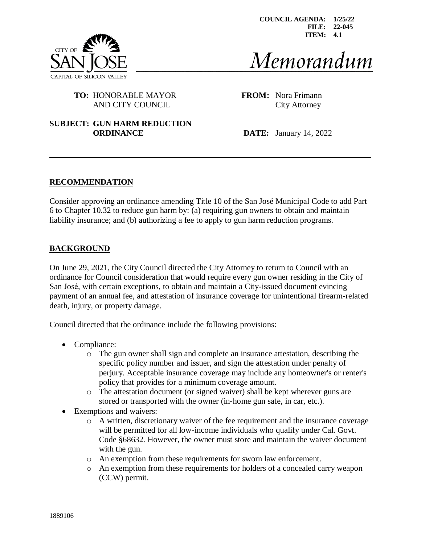

**COUNCIL AGENDA: 1/25/22 FILE: 22-045 ITEM: 4.1**

# Memorandum

## **TO:** HONORABLE MAYOR **FROM:** Nora Frimann AND CITY COUNCIL City Attorney

#### **SUBJECT: GUN HARM REDUCTION ORDINANCE DATE:** January 14, 2022

#### **RECOMMENDATION**

Consider approving an ordinance amending Title 10 of the San José Municipal Code to add Part 6 to Chapter 10.32 to reduce gun harm by: (a) requiring gun owners to obtain and maintain liability insurance; and (b) authorizing a fee to apply to gun harm reduction programs.

## **BACKGROUND**

On June 29, 2021, the City Council directed the City Attorney to return to Council with an ordinance for Council consideration that would require every gun owner residing in the City of San José, with certain exceptions, to obtain and maintain a City-issued document evincing payment of an annual fee, and attestation of insurance coverage for unintentional firearm-related death, injury, or property damage.

Council directed that the ordinance include the following provisions:

- Compliance:
	- o The gun owner shall sign and complete an insurance attestation, describing the specific policy number and issuer, and sign the attestation under penalty of perjury. Acceptable insurance coverage may include any homeowner's or renter's policy that provides for a minimum coverage amount.
	- o The attestation document (or signed waiver) shall be kept wherever guns are stored or transported with the owner (in-home gun safe, in car, etc.).
- Exemptions and waivers:
	- o A written, discretionary waiver of the fee requirement and the insurance coverage will be permitted for all low-income individuals who qualify under Cal. Govt. Code §68632. However, the owner must store and maintain the waiver document with the gun.
	- o An exemption from these requirements for sworn law enforcement.
	- o An exemption from these requirements for holders of a concealed carry weapon (CCW) permit.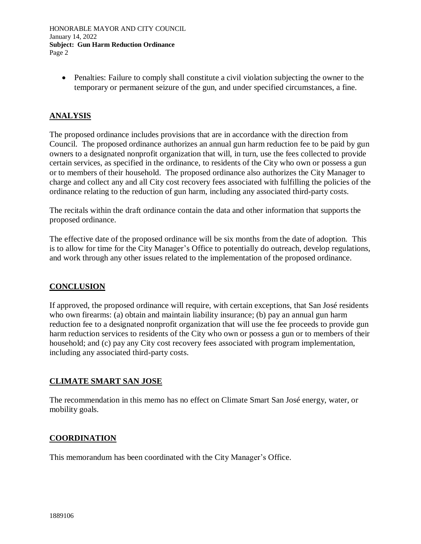HONORABLE MAYOR AND CITY COUNCIL January 14, 2022 **Subject: Gun Harm Reduction Ordinance** Page 2

• Penalties: Failure to comply shall constitute a civil violation subjecting the owner to the temporary or permanent seizure of the gun, and under specified circumstances, a fine.

## **ANALYSIS**

The proposed ordinance includes provisions that are in accordance with the direction from Council. The proposed ordinance authorizes an annual gun harm reduction fee to be paid by gun owners to a designated nonprofit organization that will, in turn, use the fees collected to provide certain services, as specified in the ordinance, to residents of the City who own or possess a gun or to members of their household. The proposed ordinance also authorizes the City Manager to charge and collect any and all City cost recovery fees associated with fulfilling the policies of the ordinance relating to the reduction of gun harm, including any associated third-party costs.

The recitals within the draft ordinance contain the data and other information that supports the proposed ordinance.

The effective date of the proposed ordinance will be six months from the date of adoption. This is to allow for time for the City Manager's Office to potentially do outreach, develop regulations, and work through any other issues related to the implementation of the proposed ordinance.

#### **CONCLUSION**

If approved, the proposed ordinance will require, with certain exceptions, that San José residents who own firearms: (a) obtain and maintain liability insurance; (b) pay an annual gun harm reduction fee to a designated nonprofit organization that will use the fee proceeds to provide gun harm reduction services to residents of the City who own or possess a gun or to members of their household; and (c) pay any City cost recovery fees associated with program implementation, including any associated third-party costs.

#### **CLIMATE SMART SAN JOSE**

The recommendation in this memo has no effect on Climate Smart San José energy, water, or mobility goals.

## **COORDINATION**

This memorandum has been coordinated with the City Manager's Office.